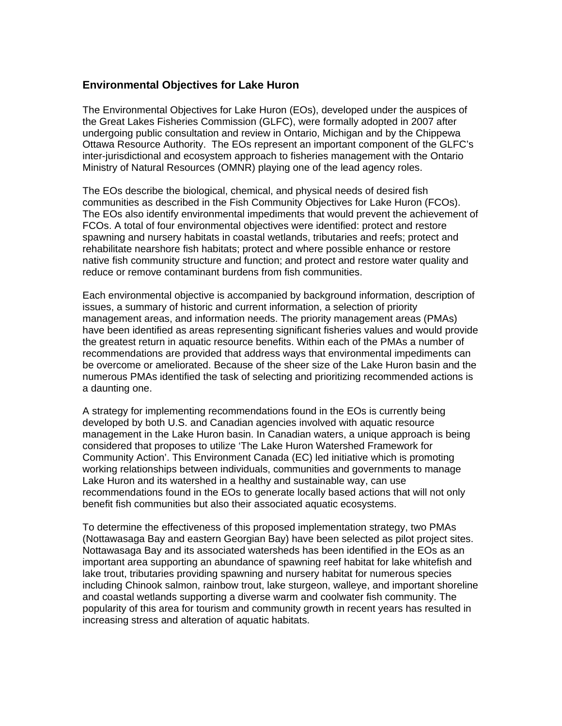## **Environmental Objectives for Lake Huron**

The Environmental Objectives for Lake Huron (EOs), developed under the auspices of the Great Lakes Fisheries Commission (GLFC), were formally adopted in 2007 after undergoing public consultation and review in Ontario, Michigan and by the Chippewa Ottawa Resource Authority. The EOs represent an important component of the GLFC's inter-jurisdictional and ecosystem approach to fisheries management with the Ontario Ministry of Natural Resources (OMNR) playing one of the lead agency roles.

The EOs describe the biological, chemical, and physical needs of desired fish communities as described in the Fish Community Objectives for Lake Huron (FCOs). The EOs also identify environmental impediments that would prevent the achievement of FCOs. A total of four environmental objectives were identified: protect and restore spawning and nursery habitats in coastal wetlands, tributaries and reefs; protect and rehabilitate nearshore fish habitats; protect and where possible enhance or restore native fish community structure and function; and protect and restore water quality and reduce or remove contaminant burdens from fish communities.

Each environmental objective is accompanied by background information, description of issues, a summary of historic and current information, a selection of priority management areas, and information needs. The priority management areas (PMAs) have been identified as areas representing significant fisheries values and would provide the greatest return in aquatic resource benefits. Within each of the PMAs a number of recommendations are provided that address ways that environmental impediments can be overcome or ameliorated. Because of the sheer size of the Lake Huron basin and the numerous PMAs identified the task of selecting and prioritizing recommended actions is a daunting one.

A strategy for implementing recommendations found in the EOs is currently being developed by both U.S. and Canadian agencies involved with aquatic resource management in the Lake Huron basin. In Canadian waters, a unique approach is being considered that proposes to utilize 'The Lake Huron Watershed Framework for Community Action'. This Environment Canada (EC) led initiative which is promoting working relationships between individuals, communities and governments to manage Lake Huron and its watershed in a healthy and sustainable way, can use recommendations found in the EOs to generate locally based actions that will not only benefit fish communities but also their associated aquatic ecosystems.

To determine the effectiveness of this proposed implementation strategy, two PMAs (Nottawasaga Bay and eastern Georgian Bay) have been selected as pilot project sites. Nottawasaga Bay and its associated watersheds has been identified in the EOs as an important area supporting an abundance of spawning reef habitat for lake whitefish and lake trout, tributaries providing spawning and nursery habitat for numerous species including Chinook salmon, rainbow trout, lake sturgeon, walleye, and important shoreline and coastal wetlands supporting a diverse warm and coolwater fish community. The popularity of this area for tourism and community growth in recent years has resulted in increasing stress and alteration of aquatic habitats.